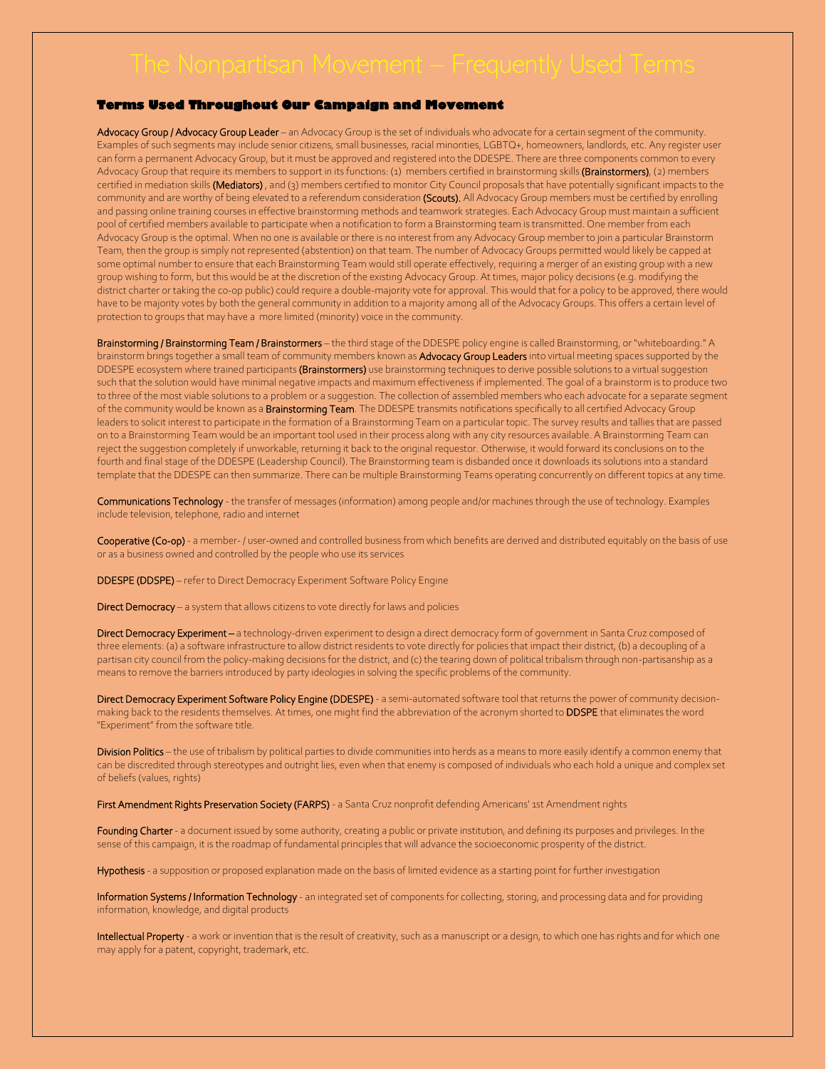## **Terms Used Throughout Our Campaign and Movement**

Advocacy Group / Advocacy Group Leader – an Advocacy Group is the set of individuals who advocate for a certain segment of the community. Examples of such segments may include senior citizens, small businesses, racial minorities, LGBTQ+, homeowners, landlords, etc. Any register user can form a permanent Advocacy Group, but it must be approved and registered into the DDESPE. There are three components common to every Advocacy Group that require its members to support in its functions: (1) members certified in brainstorming skills (Brainstormers), (2) members certified in mediation skills (Mediators), and (3) members certified to monitor City Council proposals that have potentially significant impacts to the community and are worthy of being elevated to a referendum consideration (Scouts). All Advocacy Group members must be certified by enrolling and passing online training courses in effective brainstorming methods and teamwork strategies. Each Advocacy Group must maintain a sufficient pool of certified members available to participate when a notification to form a Brainstorming team is transmitted. One member from each Advocacy Group is the optimal. When no one is available or there is no interest from any Advocacy Group member to join a particular Brainstorm Team, then the group is simply not represented (abstention) on that team. The number of Advocacy Groups permitted would likely be capped at some optimal number to ensure that each Brainstorming Team would still operate effectively, requiring a merger of an existing group with a new group wishing to form, but this would be at the discretion of the existing Advocacy Group. At times, major policy decisions (e.g. modifying the district charter or taking the co-op public) could require a double-majority vote for approval. This would that for a policy to be approved, there would have to be majority votes by both the general community in addition to a majority among all of the Advocacy Groups. This offers a certain level of protection to groups that may have a more limited (minority) voice in the community.

Brainstorming / Brainstorming Team / Brainstormers - the third stage of the DDESPE policy engine is called Brainstorming, or "whiteboarding." A brainstorm brings together a small team of community members known as **Advocacy Group Leaders** into virtual meeting spaces supported by the DDESPE ecosystem where trained participants (Brainstormers) use brainstorming techniques to derive possible solutions to a virtual suggestion such that the solution would have minimal negative impacts and maximum effectiveness if implemented. The goal of a brainstorm is to produce two to three of the most viable solutions to a problem or a suggestion. The collection of assembled members who each advocate for a separate segment of the community would be known as a **Brainstorming Team**. The DDESPE transmits notifications specifically to all certified Advocacy Group leaders to solicit interest to participate in the formation of a Brainstorming Team on a particular topic. The survey results and tallies that are passed on to a Brainstorming Team would be an important tool used in their process along with any city resources available. A Brainstorming Team can reject the suggestion completely if unworkable, returning it back to the original requestor. Otherwise, it would forward its conclusions on to the fourth and final stage of the DDESPE (Leadership Council). The Brainstorming team is disbanded once it downloads its solutions into a standard template that the DDESPE can then summarize. There can be multiple Brainstorming Teams operating concurrently on different topics at any time.

Communications Technology - the transfer of messages (information) among people and/or machines through the use of technology. Examples include television, telephone, radio and internet

Cooperative (Co-op) - a member- / user-owned and controlled business from which benefits are derived and distributed equitably on the basis of use or as a business owned and controlled by the people who use its services

DDESPE (DDSPE) – refer to Direct Democracy Experiment Software Policy Engine

Direct Democracy – a system that allows citizens to vote directly for laws and policies

Direct Democracy Experiment - a technology-driven experiment to design a direct democracy form of government in Santa Cruz composed of three elements: (a) a software infrastructure to allow district residents to vote directly for policies that impact their district, (b) a decoupling of a partisan city council from the policy-making decisions for the district, and (c) the tearing down of political tribalism through non-partisanship as a means to remove the barriers introduced by party ideologies in solving the specific problems of the community.

Direct Democracy Experiment Software Policy Engine (DDESPE) - a semi-automated software tool that returns the power of community decisionmaking back to the residents themselves. At times, one might find the abbreviation of the acronym shorted to DDSPE that eliminates the word "Experiment" from the software title.

Division Politics – the use of tribalism by political parties to divide communities into herds as a means to more easily identify a common enemy that can be discredited through stereotypes and outright lies, even when that enemy is composed of individuals who each hold a unique and complex set of beliefs (values, rights)

First Amendment Rights Preservation Society (FARPS) - a Santa Cruz nonprofit defending Americans' 1st Amendment rights

Founding Charter - a document issued by some authority, creating a public or private institution, and defining its purposes and privileges. In the sense of this campaign, it is the roadmap of fundamental principles that will advance the socioeconomic prosperity of the district.

Hypothesis - a supposition or proposed explanation made on the basis of limited evidence as a starting point for further investigation

Information Systems / Information Technology - an integrated set of components for collecting, storing, and processing data and for providing information, knowledge, and digital products

Intellectual Property - a work or invention that is the result of creativity, such as a manuscript or a design, to which one has rights and for which one may apply for a patent, copyright, trademark, etc.